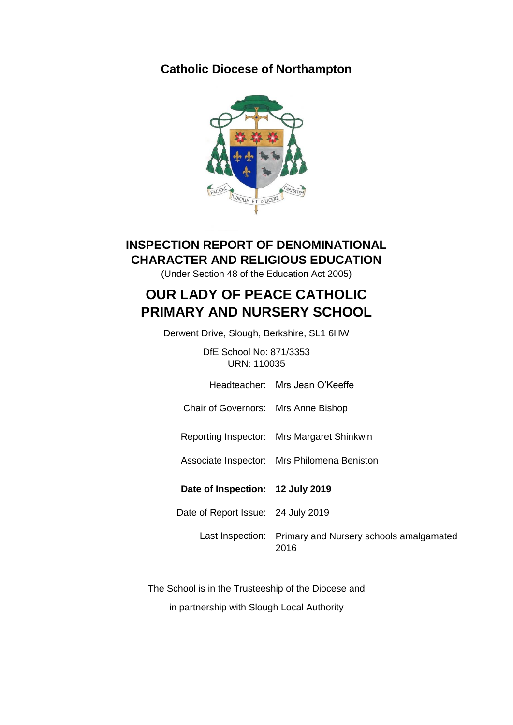## **Catholic Diocese of Northampton**



## **INSPECTION REPORT OF DENOMINATIONAL CHARACTER AND RELIGIOUS EDUCATION**

(Under Section 48 of the Education Act 2005)

# **OUR LADY OF PEACE CATHOLIC PRIMARY AND NURSERY SCHOOL**

Derwent Drive, Slough, Berkshire, SL1 6HW

DfE School No: 871/3353 URN: 110035

Headteacher: Mrs Jean O'Keeffe

Chair of Governors: Mrs Anne Bishop

Reporting Inspector: Mrs Margaret Shinkwin

Associate Inspector: Mrs Philomena Beniston

**Date of Inspection: 12 July 2019**

Date of Report Issue: 24 July 2019

Last Inspection: Primary and Nursery schools amalgamated 2016

The School is in the Trusteeship of the Diocese and in partnership with Slough Local Authority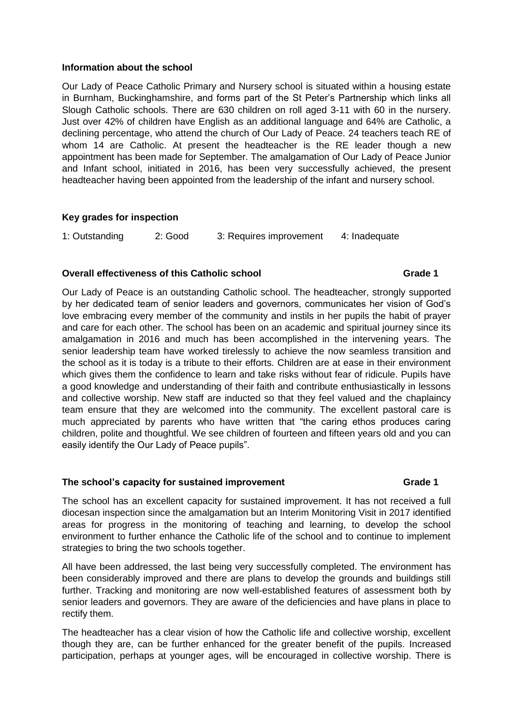### **Information about the school**

Our Lady of Peace Catholic Primary and Nursery school is situated within a housing estate in Burnham, Buckinghamshire, and forms part of the St Peter's Partnership which links all Slough Catholic schools. There are 630 children on roll aged 3-11 with 60 in the nursery. Just over 42% of children have English as an additional language and 64% are Catholic, a declining percentage, who attend the church of Our Lady of Peace. 24 teachers teach RE of whom 14 are Catholic. At present the headteacher is the RE leader though a new appointment has been made for September. The amalgamation of Our Lady of Peace Junior and Infant school, initiated in 2016, has been very successfully achieved, the present headteacher having been appointed from the leadership of the infant and nursery school.

### **Key grades for inspection**

1: Outstanding 2: Good 3: Requires improvement 4: Inadequate

### **Overall effectiveness of this Catholic school Grade 1 Grade 1**

Our Lady of Peace is an outstanding Catholic school. The headteacher, strongly supported by her dedicated team of senior leaders and governors, communicates her vision of God's love embracing every member of the community and instils in her pupils the habit of prayer and care for each other. The school has been on an academic and spiritual journey since its amalgamation in 2016 and much has been accomplished in the intervening years. The senior leadership team have worked tirelessly to achieve the now seamless transition and the school as it is today is a tribute to their efforts. Children are at ease in their environment which gives them the confidence to learn and take risks without fear of ridicule. Pupils have a good knowledge and understanding of their faith and contribute enthusiastically in lessons and collective worship. New staff are inducted so that they feel valued and the chaplaincy team ensure that they are welcomed into the community. The excellent pastoral care is much appreciated by parents who have written that "the caring ethos produces caring children, polite and thoughtful. We see children of fourteen and fifteen years old and you can easily identify the Our Lady of Peace pupils".

### The school's capacity for sustained improvement **Fig. 3** Grade 1

The school has an excellent capacity for sustained improvement. It has not received a full diocesan inspection since the amalgamation but an Interim Monitoring Visit in 2017 identified areas for progress in the monitoring of teaching and learning, to develop the school environment to further enhance the Catholic life of the school and to continue to implement strategies to bring the two schools together.

All have been addressed, the last being very successfully completed. The environment has been considerably improved and there are plans to develop the grounds and buildings still further. Tracking and monitoring are now well-established features of assessment both by senior leaders and governors. They are aware of the deficiencies and have plans in place to rectify them.

The headteacher has a clear vision of how the Catholic life and collective worship, excellent though they are, can be further enhanced for the greater benefit of the pupils. Increased participation, perhaps at younger ages, will be encouraged in collective worship. There is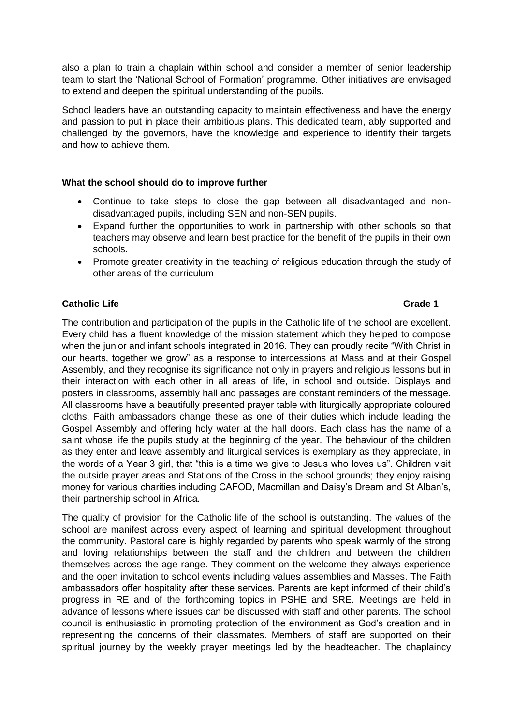also a plan to train a chaplain within school and consider a member of senior leadership team to start the 'National School of Formation' programme. Other initiatives are envisaged to extend and deepen the spiritual understanding of the pupils.

School leaders have an outstanding capacity to maintain effectiveness and have the energy and passion to put in place their ambitious plans. This dedicated team, ably supported and challenged by the governors, have the knowledge and experience to identify their targets and how to achieve them.

### **What the school should do to improve further**

- Continue to take steps to close the gap between all disadvantaged and nondisadvantaged pupils, including SEN and non-SEN pupils.
- Expand further the opportunities to work in partnership with other schools so that teachers may observe and learn best practice for the benefit of the pupils in their own schools.
- Promote greater creativity in the teaching of religious education through the study of other areas of the curriculum

### **Catholic Life Grade 1**

The contribution and participation of the pupils in the Catholic life of the school are excellent. Every child has a fluent knowledge of the mission statement which they helped to compose when the junior and infant schools integrated in 2016. They can proudly recite "With Christ in our hearts, together we grow" as a response to intercessions at Mass and at their Gospel Assembly, and they recognise its significance not only in prayers and religious lessons but in their interaction with each other in all areas of life, in school and outside. Displays and posters in classrooms, assembly hall and passages are constant reminders of the message. All classrooms have a beautifully presented prayer table with liturgically appropriate coloured cloths. Faith ambassadors change these as one of their duties which include leading the Gospel Assembly and offering holy water at the hall doors. Each class has the name of a saint whose life the pupils study at the beginning of the year. The behaviour of the children as they enter and leave assembly and liturgical services is exemplary as they appreciate, in the words of a Year 3 girl, that "this is a time we give to Jesus who loves us". Children visit the outside prayer areas and Stations of the Cross in the school grounds; they enjoy raising money for various charities including CAFOD, Macmillan and Daisy's Dream and St Alban's, their partnership school in Africa.

The quality of provision for the Catholic life of the school is outstanding. The values of the school are manifest across every aspect of learning and spiritual development throughout the community. Pastoral care is highly regarded by parents who speak warmly of the strong and loving relationships between the staff and the children and between the children themselves across the age range. They comment on the welcome they always experience and the open invitation to school events including values assemblies and Masses. The Faith ambassadors offer hospitality after these services. Parents are kept informed of their child's progress in RE and of the forthcoming topics in PSHE and SRE. Meetings are held in advance of lessons where issues can be discussed with staff and other parents. The school council is enthusiastic in promoting protection of the environment as God's creation and in representing the concerns of their classmates. Members of staff are supported on their spiritual journey by the weekly prayer meetings led by the headteacher. The chaplaincy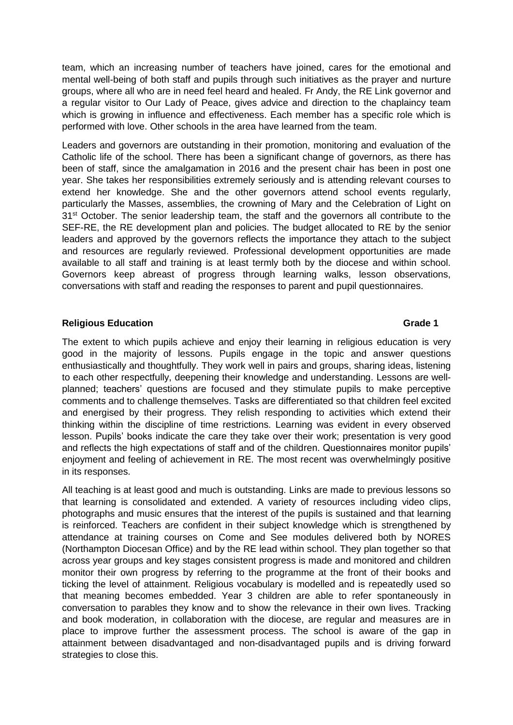team, which an increasing number of teachers have joined, cares for the emotional and mental well-being of both staff and pupils through such initiatives as the prayer and nurture groups, where all who are in need feel heard and healed. Fr Andy, the RE Link governor and a regular visitor to Our Lady of Peace, gives advice and direction to the chaplaincy team which is growing in influence and effectiveness. Each member has a specific role which is performed with love. Other schools in the area have learned from the team.

Leaders and governors are outstanding in their promotion, monitoring and evaluation of the Catholic life of the school. There has been a significant change of governors, as there has been of staff, since the amalgamation in 2016 and the present chair has been in post one year. She takes her responsibilities extremely seriously and is attending relevant courses to extend her knowledge. She and the other governors attend school events regularly, particularly the Masses, assemblies, the crowning of Mary and the Celebration of Light on 31<sup>st</sup> October. The senior leadership team, the staff and the governors all contribute to the SEF-RE, the RE development plan and policies. The budget allocated to RE by the senior leaders and approved by the governors reflects the importance they attach to the subject and resources are regularly reviewed. Professional development opportunities are made available to all staff and training is at least termly both by the diocese and within school. Governors keep abreast of progress through learning walks, lesson observations, conversations with staff and reading the responses to parent and pupil questionnaires.

### **Religious Education Grade 1**

The extent to which pupils achieve and enjoy their learning in religious education is very good in the majority of lessons. Pupils engage in the topic and answer questions enthusiastically and thoughtfully. They work well in pairs and groups, sharing ideas, listening to each other respectfully, deepening their knowledge and understanding. Lessons are wellplanned; teachers' questions are focused and they stimulate pupils to make perceptive comments and to challenge themselves. Tasks are differentiated so that children feel excited and energised by their progress. They relish responding to activities which extend their thinking within the discipline of time restrictions. Learning was evident in every observed lesson. Pupils' books indicate the care they take over their work; presentation is very good and reflects the high expectations of staff and of the children. Questionnaires monitor pupils' enjoyment and feeling of achievement in RE. The most recent was overwhelmingly positive in its responses.

All teaching is at least good and much is outstanding. Links are made to previous lessons so that learning is consolidated and extended. A variety of resources including video clips, photographs and music ensures that the interest of the pupils is sustained and that learning is reinforced. Teachers are confident in their subject knowledge which is strengthened by attendance at training courses on Come and See modules delivered both by NORES (Northampton Diocesan Office) and by the RE lead within school. They plan together so that across year groups and key stages consistent progress is made and monitored and children monitor their own progress by referring to the programme at the front of their books and ticking the level of attainment. Religious vocabulary is modelled and is repeatedly used so that meaning becomes embedded. Year 3 children are able to refer spontaneously in conversation to parables they know and to show the relevance in their own lives. Tracking and book moderation, in collaboration with the diocese, are regular and measures are in place to improve further the assessment process. The school is aware of the gap in attainment between disadvantaged and non-disadvantaged pupils and is driving forward strategies to close this.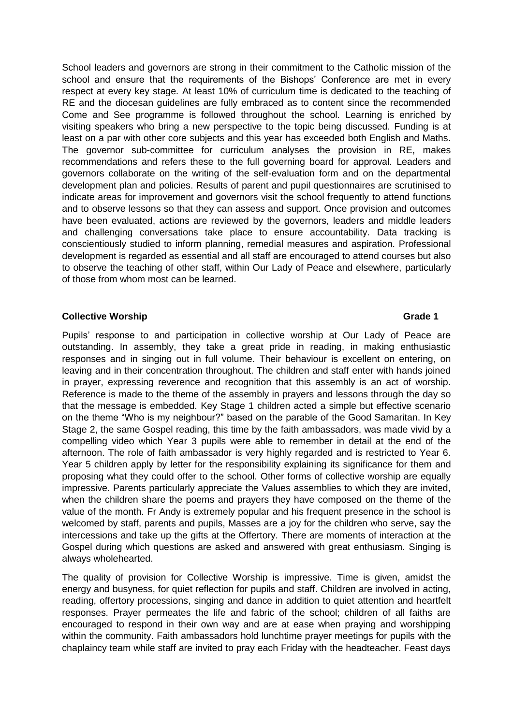School leaders and governors are strong in their commitment to the Catholic mission of the school and ensure that the requirements of the Bishops' Conference are met in every respect at every key stage. At least 10% of curriculum time is dedicated to the teaching of RE and the diocesan guidelines are fully embraced as to content since the recommended Come and See programme is followed throughout the school. Learning is enriched by visiting speakers who bring a new perspective to the topic being discussed. Funding is at least on a par with other core subjects and this year has exceeded both English and Maths. The governor sub-committee for curriculum analyses the provision in RE, makes recommendations and refers these to the full governing board for approval. Leaders and governors collaborate on the writing of the self-evaluation form and on the departmental development plan and policies. Results of parent and pupil questionnaires are scrutinised to indicate areas for improvement and governors visit the school frequently to attend functions and to observe lessons so that they can assess and support. Once provision and outcomes have been evaluated, actions are reviewed by the governors, leaders and middle leaders and challenging conversations take place to ensure accountability. Data tracking is conscientiously studied to inform planning, remedial measures and aspiration. Professional development is regarded as essential and all staff are encouraged to attend courses but also to observe the teaching of other staff, within Our Lady of Peace and elsewhere, particularly of those from whom most can be learned.

### **Collective Worship Grade 1**

Pupils' response to and participation in collective worship at Our Lady of Peace are outstanding. In assembly, they take a great pride in reading, in making enthusiastic responses and in singing out in full volume. Their behaviour is excellent on entering, on leaving and in their concentration throughout. The children and staff enter with hands joined in prayer, expressing reverence and recognition that this assembly is an act of worship. Reference is made to the theme of the assembly in prayers and lessons through the day so that the message is embedded. Key Stage 1 children acted a simple but effective scenario on the theme "Who is my neighbour?" based on the parable of the Good Samaritan. In Key Stage 2, the same Gospel reading, this time by the faith ambassadors, was made vivid by a compelling video which Year 3 pupils were able to remember in detail at the end of the afternoon. The role of faith ambassador is very highly regarded and is restricted to Year 6. Year 5 children apply by letter for the responsibility explaining its significance for them and proposing what they could offer to the school. Other forms of collective worship are equally impressive. Parents particularly appreciate the Values assemblies to which they are invited, when the children share the poems and prayers they have composed on the theme of the value of the month. Fr Andy is extremely popular and his frequent presence in the school is welcomed by staff, parents and pupils, Masses are a joy for the children who serve, say the intercessions and take up the gifts at the Offertory. There are moments of interaction at the Gospel during which questions are asked and answered with great enthusiasm. Singing is always wholehearted.

The quality of provision for Collective Worship is impressive. Time is given, amidst the energy and busyness, for quiet reflection for pupils and staff. Children are involved in acting, reading, offertory processions, singing and dance in addition to quiet attention and heartfelt responses. Prayer permeates the life and fabric of the school; children of all faiths are encouraged to respond in their own way and are at ease when praying and worshipping within the community. Faith ambassadors hold lunchtime prayer meetings for pupils with the chaplaincy team while staff are invited to pray each Friday with the headteacher. Feast days